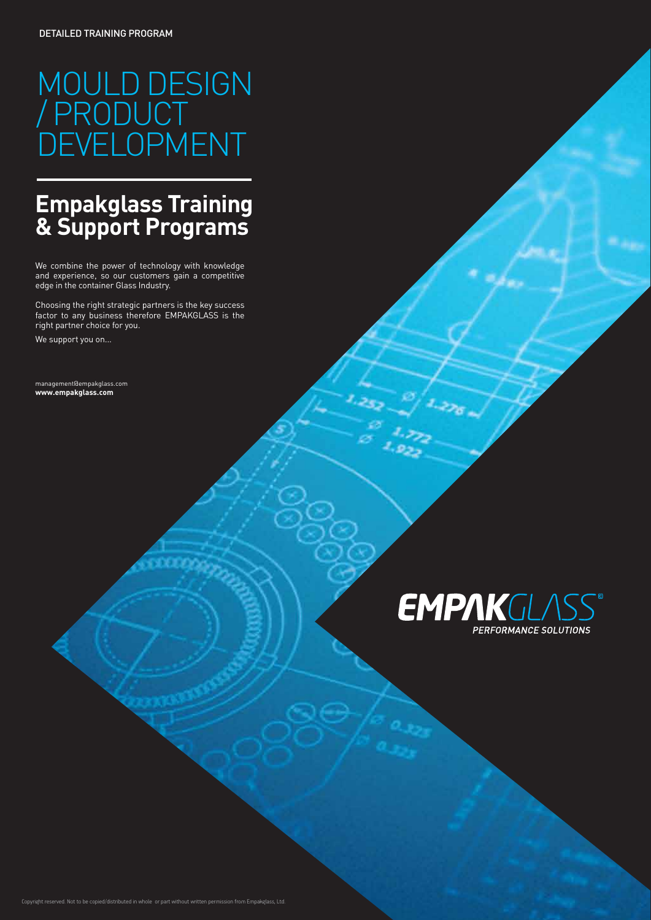# MOULD DESIGN / PRODUCT DEVELOPMENT

## **Empakglass Training & Support Programs**

We combine the power of technology with knowledge and experience, so our customers gain a competitive edge in the container Glass Industry.

Choosing the right strategic partners is the key success factor to any business therefore EMPAKGLASS is the right partner choice for you.

We support you on...

management@empakglass.com **www.empakglass.com**

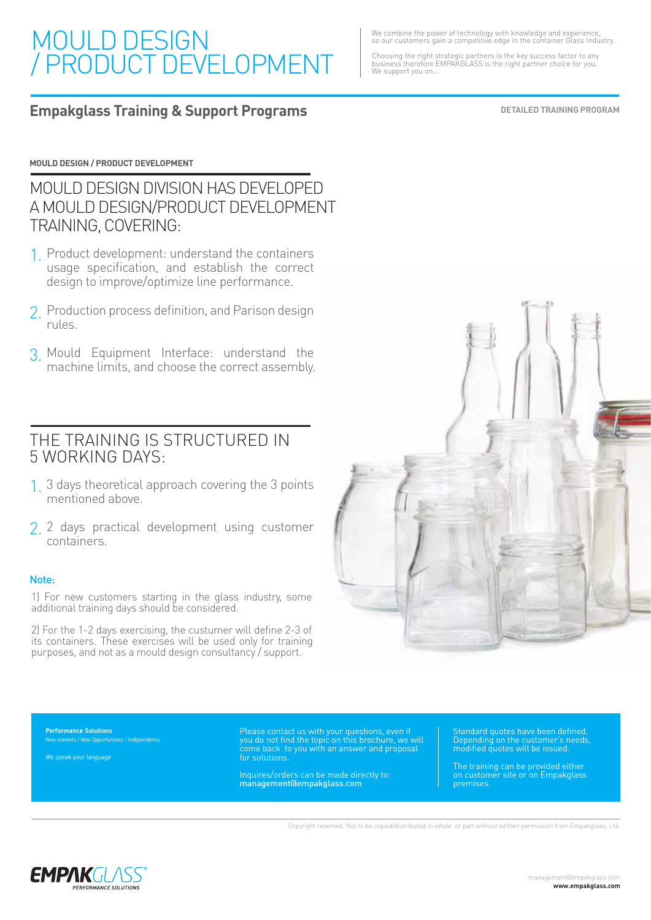## MOULD DESIGN / PRODUCT DEVELOPMENT

We combine the power of technology with knowledge and experience, so our customers gain a competitive edge in the container Glass Industry.

Choosing the right strategic partners is the key success factor to any business therefore EMPAKGLASS is the right partner choice for you. We support you on...

#### **Empakglass Training & Support Programs**

**DETAILED TRAINING PROGRAM**

#### **MOULD DESIGN / PRODUCT DEVELOPMENT**

MOULD DESIGN DIVISION HAS DEVELOPED A MOULD DESIGN/PRODUCT DEVELOPMENT TRAINING, COVERING:

- 1. Product development: understand the containers usage specification, and establish the correct design to improve/optimize line performance.
- 2. Production process definition, and Parison design rules.
- Mould Equipment Interface: understand the 3. machine limits, and choose the correct assembly.

#### THE TRAINING IS STRUCTURED IN 5 WORKING DAYS:

- 3 days theoretical approach covering the 3 points 1. mentioned above.
- 2. 2 days practical development using customer containers.

#### Note:

1) For new customers starting in the glass industry, some additional training days should be considered.

2) For the 1-2 days exercising, the custumer will define 2-3 of its containers. These exercises will be used only for training purposes, and not as a mould design consultancy / support.



**Performance Solutions** *New markets / New Opportunities / Independency* 

*We speak your language*

Please contact us with your questions, even if you do not find the topic on this brochure, we will come back to you with an answer and proposal for solutions.

Inquires/orders can be made directly to: management@empakglass.com

Standard quotes have been defined. Depending on the customer's needs, modified quotes will be issued.

The training can be provided either on customer site or on Empakglass premises.

Copyright reserved. Not to be copied/distributed in whole or part without written permission from Empakglass, Ltd.

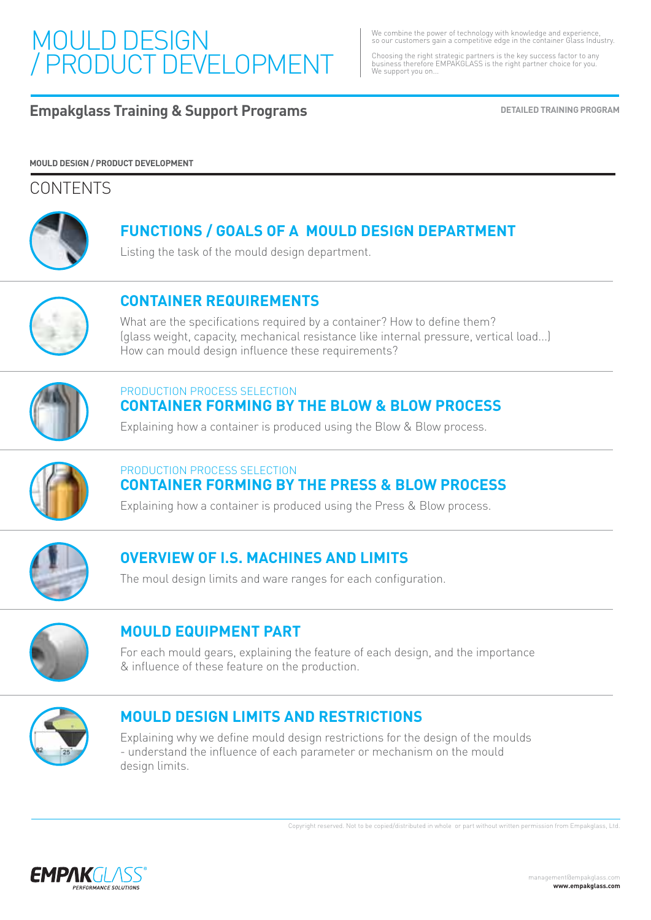## MOULD DESIGN / PRODUCT DEVELOPMENT

We combine the power of technology with knowledge and experience, so our customers gain a competitive edge in the container Glass Industry.

Choosing the right strategic partners is the key success factor to any business therefore EMPAKGLASS is the right partner choice for you. We support you on...

### **Empakglass Training & Support Programs DETAILED TRAINING PROGRAM**

#### **MOULD DESIGN / PRODUCT DEVELOPMENT**

#### **CONTENTS**



## **FUNCTIONS / GOALS OF A MOULD DESIGN DEPARTMENT**

Listing the task of the mould design department.



## **CONTAINER REQUIREMENTS**

What are the specifications required by a container? How to define them? (glass weight, capacity, mechanical resistance like internal pressure, vertical load...) How can mould design influence these requirements?



#### **CONTAINER FORMING BY THE BLOW & BLOW PROCESS** PRODUCTION PROCESS SELECTION

Explaining how a container is produced using the Blow & Blow process.



#### **CONTAINER FORMING BY THE PRESS & BLOW PROCESS** PRODUCTION PROCESS SELECTION

Explaining how a container is produced using the Press & Blow process.



## **OVERVIEW OF I.S. MACHINES AND LIMITS**

The moul design limits and ware ranges for each configuration.



#### **MOULD EQUIPMENT PART**

For each mould gears, explaining the feature of each design, and the importance & influence of these feature on the production.



#### **MOULD DESIGN LIMITS AND RESTRICTIONS**

Explaining why we define mould design restrictions for the design of the moulds - understand the influence of each parameter or mechanism on the mould design limits.